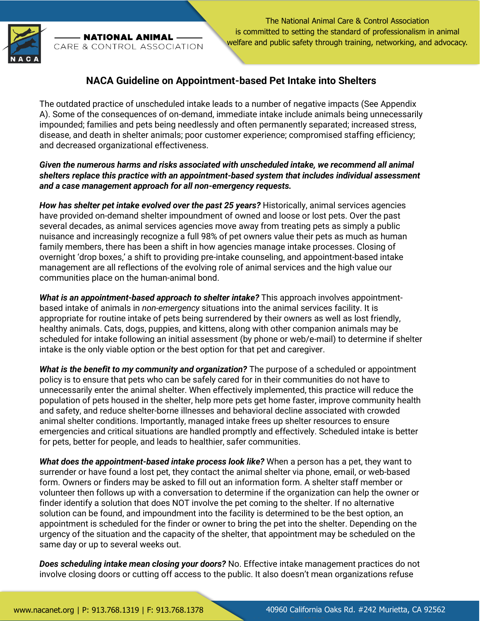

**NATIONAL ANIMAL** CARE & CONTROL ASSOCIATION

The National Animal Care & Control Association is committed to setting the standard of professionalism in animal welfare and public safety through training, networking, and advocacy.

## **NACA Guideline on Appointment-based Pet Intake into Shelters**

The outdated practice of unscheduled intake leads to a number of negative impacts (See Appendix A). Some of the consequences of on-demand, immediate intake include animals being unnecessarily impounded; families and pets being needlessly and often permanently separated; increased stress, disease, and death in shelter animals; poor customer experience; compromised staffing efficiency; and decreased organizational effectiveness.

## *Given the numerous harms and risks associated with unscheduled intake, we recommend all animal shelters replace this practice with an appointment-based system that includes individual assessment and a case management approach for all non-emergency requests.*

*How has shelter pet intake evolved over the past 25 years?* Historically, animal services agencies have provided on-demand shelter impoundment of owned and loose or lost pets. Over the past several decades, as animal services agencies move away from treating pets as simply a public nuisance and increasingly recognize a full 98% of pet owners value their pets as much as human family members, there has been a shift in how agencies manage intake processes. Closing of overnight 'drop boxes,' a shift to providing pre-intake counseling, and appointment-based intake management are all reflections of the evolving role of animal services and the high value our communities place on the human-animal bond.

**What is an appointment-based approach to shelter intake?** This approach involves appointmentbased intake of animals in *non-emergency* situations into the animal services facility. It is appropriate for routine intake of pets being surrendered by their owners as well as lost friendly, healthy animals. Cats, dogs, puppies, and kittens, along with other companion animals may be scheduled for intake following an initial assessment (by phone or web/e-mail) to determine if shelter intake is the only viable option or the best option for that pet and caregiver.

*What is the benefit to my community and organization?* The purpose of a scheduled or appointment policy is to ensure that pets who can be safely cared for in their communities do not have to unnecessarily enter the animal shelter. When effectively implemented, this practice will reduce the population of pets housed in the shelter, help more pets get home faster, improve community health and safety, and reduce shelter-borne illnesses and behavioral decline associated with crowded animal shelter conditions. Importantly, managed intake frees up shelter resources to ensure emergencies and critical situations are handled promptly and effectively. Scheduled intake is better for pets, better for people, and leads to healthier, safer communities.

*What does the appointment-based intake process look like?* When a person has a pet, they want to surrender or have found a lost pet, they contact the animal shelter via phone, email, or web-based form. Owners or finders may be asked to fill out an information form. A shelter staff member or volunteer then follows up with a conversation to determine if the organization can help the owner or finder identify a solution that does NOT involve the pet coming to the shelter. If no alternative solution can be found, and impoundment into the facility is determined to be the best option, an appointment is scheduled for the finder or owner to bring the pet into the shelter. Depending on the urgency of the situation and the capacity of the shelter, that appointment may be scheduled on the same day or up to several weeks out.

*Does scheduling intake mean closing your doors?* No. Effective intake management practices do not involve closing doors or cutting off access to the public. It also doesn't mean organizations refuse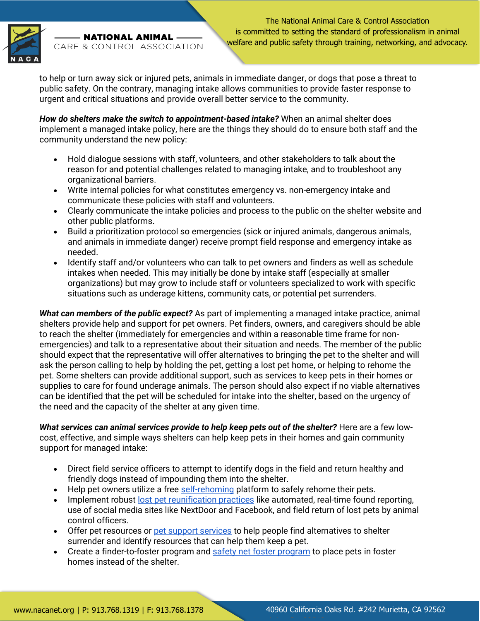

- NATIONAL ANIMAL CARE & CONTROL ASSOCIATION

The National Animal Care & Control Association is committed to setting the standard of professionalism in animal welfare and public safety through training, networking, and advocacy.

to help or turn away sick or injured pets, animals in immediate danger, or dogs that pose a threat to public safety. On the contrary, managing intake allows communities to provide faster response to urgent and critical situations and provide overall better service to the community.

*How do shelters make the switch to appointment-based intake?* When an animal shelter does implement a managed intake policy, here are the things they should do to ensure both staff and the community understand the new policy:

- Hold dialogue sessions with staff, volunteers, and other stakeholders to talk about the reason for and potential challenges related to managing intake, and to troubleshoot any organizational barriers.
- Write internal policies for what constitutes emergency vs. non-emergency intake and communicate these policies with staff and volunteers.
- Clearly communicate the intake policies and process to the public on the shelter website and other public platforms.
- Build a prioritization protocol so emergencies (sick or injured animals, dangerous animals, and animals in immediate danger) receive prompt field response and emergency intake as needed.
- Identify staff and/or volunteers who can talk to pet owners and finders as well as schedule intakes when needed. This may initially be done by intake staff (especially at smaller organizations) but may grow to include staff or volunteers specialized to work with specific situations such as underage kittens, community cats, or potential pet surrenders.

*What can members of the public expect?* As part of implementing a managed intake practice, animal shelters provide help and support for pet owners. Pet finders, owners, and caregivers should be able to reach the shelter (immediately for emergencies and within a reasonable time frame for nonemergencies) and talk to a representative about their situation and needs. The member of the public should expect that the representative will offer alternatives to bringing the pet to the shelter and will ask the person calling to help by holding the pet, getting a lost pet home, or helping to rehome the pet. Some shelters can provide additional support, such as services to keep pets in their homes or supplies to care for found underage animals. The person should also expect if no viable alternatives can be identified that the pet will be scheduled for intake into the shelter, based on the urgency of the need and the capacity of the shelter at any given time.

**What services can animal services provide to help keep pets out of the shelter?** Here are a few lowcost, effective, and simple ways shelters can help keep pets in their homes and gain community support for managed intake:

- Direct field service officers to attempt to identify dogs in the field and return healthy and friendly dogs instead of impounding them into the shelter.
- Help pet owners utilize a free [self-rehoming](https://www.humananimalsupportservices.org/toolkit/supported-self-rehoming/) platform to safely rehome their pets.
- Implement robust [lost pet reunification practices](https://www.humananimalsupportservices.org/toolkit/lost-pet-reunification/) like automated, real-time found reporting, use of social media sites like NextDoor and Facebook, and field return of lost pets by animal control officers.
- Offer pet resources or [pet support services](https://www.humananimalsupportservices.org/toolkit/pet-support-services/) to help people find alternatives to shelter surrender and identify resources that can help them keep a pet.
- Create a finder-to-foster program and [safety net foster program](https://lifelineanimal.org/safety-net/) to place pets in foster homes instead of the shelter.